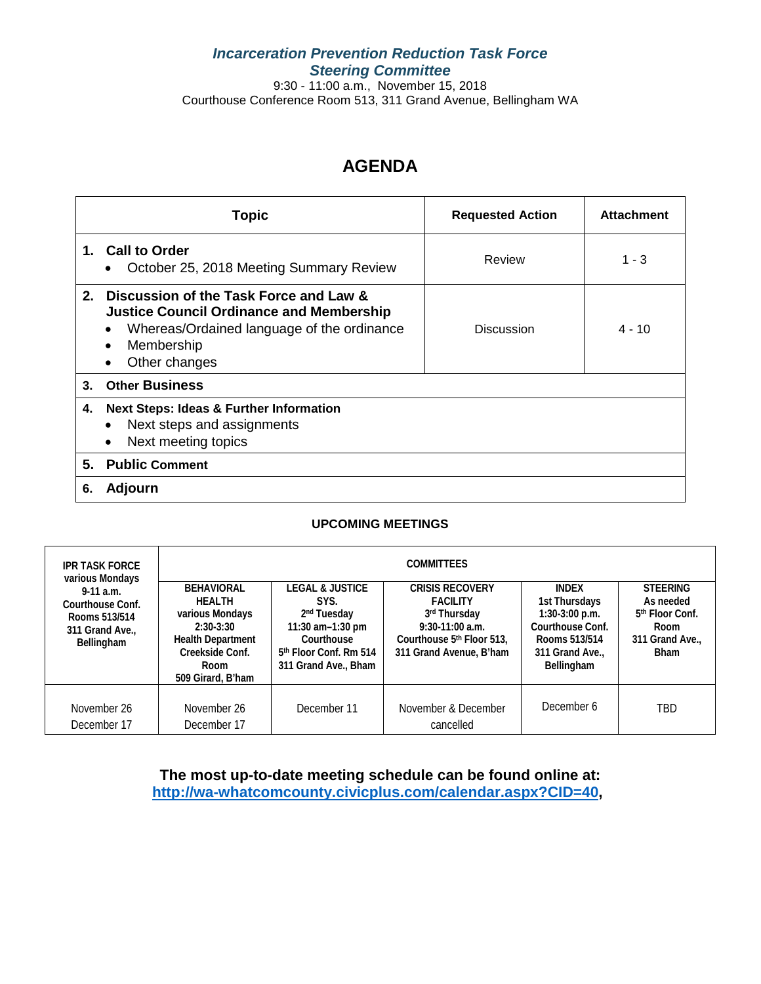# *Incarceration Prevention Reduction Task Force Steering Committee*

9:30 - 11:00 a.m., November 15, 2018 Courthouse Conference Room 513, 311 Grand Avenue, Bellingham WA

# **AGENDA**

|                | <b>Topic</b>                                                                                                                                                              | <b>Requested Action</b> | <b>Attachment</b> |
|----------------|---------------------------------------------------------------------------------------------------------------------------------------------------------------------------|-------------------------|-------------------|
|                | 1. Call to Order<br>October 25, 2018 Meeting Summary Review                                                                                                               | Review                  | $1 - 3$           |
|                | 2. Discussion of the Task Force and Law &<br><b>Justice Council Ordinance and Membership</b><br>Whereas/Ordained language of the ordinance<br>Membership<br>Other changes | <b>Discussion</b>       | $4 - 10$          |
| 3 <sub>1</sub> | <b>Other Business</b>                                                                                                                                                     |                         |                   |
| 4.             | <b>Next Steps: Ideas &amp; Further Information</b><br>Next steps and assignments<br>Next meeting topics                                                                   |                         |                   |
| 5.             | <b>Public Comment</b>                                                                                                                                                     |                         |                   |
| 6.             | Adjourn                                                                                                                                                                   |                         |                   |

# **UPCOMING MEETINGS**

| <b>IPR TASK FORCE</b><br>various Mondays                                        | <b>COMMITTEES</b>                                                                                                                                |                                                                                                                                                               |                                                                                                                                          |                                                                                                                         |                                                                                                     |  |
|---------------------------------------------------------------------------------|--------------------------------------------------------------------------------------------------------------------------------------------------|---------------------------------------------------------------------------------------------------------------------------------------------------------------|------------------------------------------------------------------------------------------------------------------------------------------|-------------------------------------------------------------------------------------------------------------------------|-----------------------------------------------------------------------------------------------------|--|
| $9-11$ a.m.<br>Courthouse Conf.<br>Rooms 513/514<br>311 Grand Ave<br>Bellingham | <b>BEHAVIORAL</b><br><b>HEALTH</b><br>various Mondays<br>$2:30-3:30$<br><b>Health Department</b><br>Creekside Conf.<br>Room<br>509 Girard, B'ham | <b>LEGAL &amp; JUSTICE</b><br>SYS.<br>2 <sup>nd</sup> Tuesday<br>11:30 am-1:30 pm<br>Courthouse<br>5 <sup>th</sup> Floor Conf. Rm 514<br>311 Grand Ave., Bham | <b>CRISIS RECOVERY</b><br><b>FACILITY</b><br>3rd Thursday<br>$9:30 - 11:00$ a.m.<br>Courthouse 5th Floor 513.<br>311 Grand Avenue, B'ham | <b>INDEX</b><br>1st Thursdays<br>$1:30-3:00$ p.m.<br>Courthouse Conf.<br>Rooms 513/514<br>311 Grand Ave.,<br>Bellingham | <b>STEERING</b><br>As needed<br>5 <sup>th</sup> Floor Conf.<br>Room<br>311 Grand Ave<br><b>Bham</b> |  |
| November 26<br>December 17                                                      | November 26<br>December 17                                                                                                                       | December 11                                                                                                                                                   | November & December<br>cancelled                                                                                                         | December 6                                                                                                              | TBD                                                                                                 |  |

**The most up-to-date meeting schedule can be found online at: [http://wa-whatcomcounty.civicplus.com/calendar.aspx?CID=40,](http://wa-whatcomcounty.civicplus.com/calendar.aspx?CID=40)**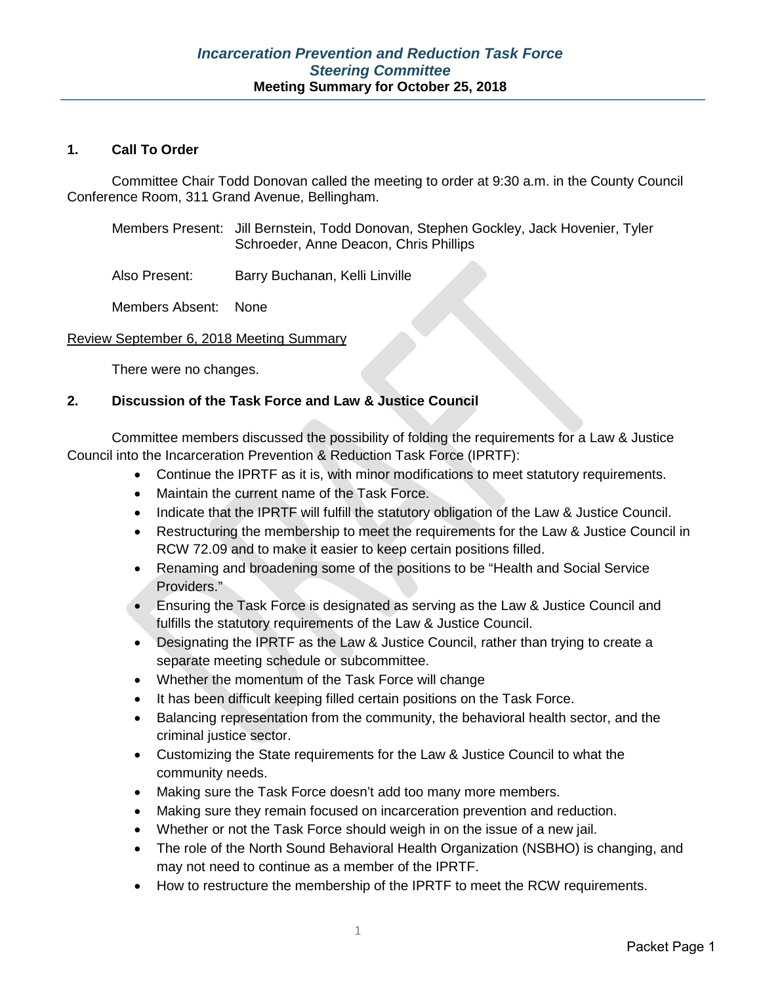# **1. Call To Order**

Committee Chair Todd Donovan called the meeting to order at 9:30 a.m. in the County Council Conference Room, 311 Grand Avenue, Bellingham.

| Members Present: Jill Bernstein, Todd Donovan, Stephen Gockley, Jack Hovenier, Tyler |
|--------------------------------------------------------------------------------------|
| Schroeder, Anne Deacon, Chris Phillips                                               |

Also Present: Barry Buchanan, Kelli Linville

Members Absent: None

## Review September 6, 2018 Meeting Summary

There were no changes.

## **2. Discussion of the Task Force and Law & Justice Council**

Committee members discussed the possibility of folding the requirements for a Law & Justice Council into the Incarceration Prevention & Reduction Task Force (IPRTF):

- Continue the IPRTF as it is, with minor modifications to meet statutory requirements.
- Maintain the current name of the Task Force.
- Indicate that the IPRTF will fulfill the statutory obligation of the Law & Justice Council.
- Restructuring the membership to meet the requirements for the Law & Justice Council in RCW 72.09 and to make it easier to keep certain positions filled.
- Renaming and broadening some of the positions to be "Health and Social Service Providers."
- Ensuring the Task Force is designated as serving as the Law & Justice Council and fulfills the statutory requirements of the Law & Justice Council.
- Designating the IPRTF as the Law & Justice Council, rather than trying to create a separate meeting schedule or subcommittee.
- Whether the momentum of the Task Force will change
- It has been difficult keeping filled certain positions on the Task Force.
- Balancing representation from the community, the behavioral health sector, and the criminal justice sector.
- Customizing the State requirements for the Law & Justice Council to what the community needs.
- Making sure the Task Force doesn't add too many more members.
- Making sure they remain focused on incarceration prevention and reduction.
- Whether or not the Task Force should weigh in on the issue of a new jail.
- The role of the North Sound Behavioral Health Organization (NSBHO) is changing, and may not need to continue as a member of the IPRTF.
- How to restructure the membership of the IPRTF to meet the RCW requirements.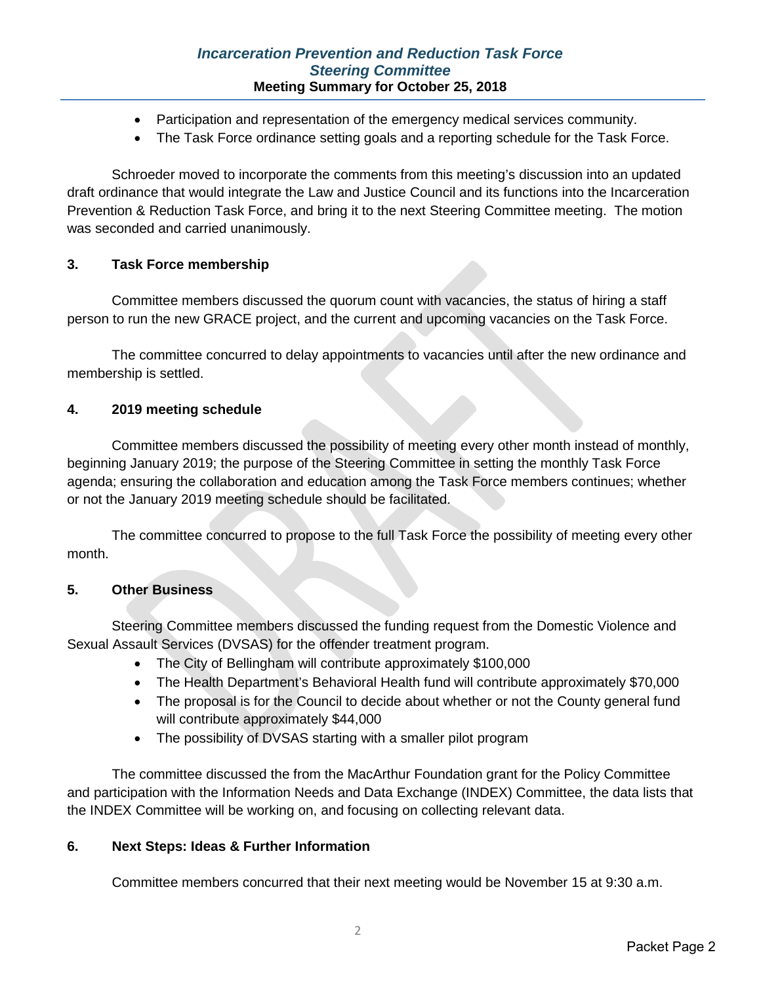# *Incarceration Prevention and Reduction Task Force Steering Committee* **Meeting Summary for October 25, 2018**

- Participation and representation of the emergency medical services community.
- The Task Force ordinance setting goals and a reporting schedule for the Task Force.

Schroeder moved to incorporate the comments from this meeting's discussion into an updated draft ordinance that would integrate the Law and Justice Council and its functions into the Incarceration Prevention & Reduction Task Force, and bring it to the next Steering Committee meeting. The motion was seconded and carried unanimously.

# **3. Task Force membership**

Committee members discussed the quorum count with vacancies, the status of hiring a staff person to run the new GRACE project, and the current and upcoming vacancies on the Task Force.

The committee concurred to delay appointments to vacancies until after the new ordinance and membership is settled.

## **4. 2019 meeting schedule**

Committee members discussed the possibility of meeting every other month instead of monthly, beginning January 2019; the purpose of the Steering Committee in setting the monthly Task Force agenda; ensuring the collaboration and education among the Task Force members continues; whether or not the January 2019 meeting schedule should be facilitated.

The committee concurred to propose to the full Task Force the possibility of meeting every other month.

## **5. Other Business**

Steering Committee members discussed the funding request from the Domestic Violence and Sexual Assault Services (DVSAS) for the offender treatment program.

- The City of Bellingham will contribute approximately \$100,000
- The Health Department's Behavioral Health fund will contribute approximately \$70,000
- The proposal is for the Council to decide about whether or not the County general fund will contribute approximately \$44,000
- The possibility of DVSAS starting with a smaller pilot program

The committee discussed the from the MacArthur Foundation grant for the Policy Committee and participation with the Information Needs and Data Exchange (INDEX) Committee, the data lists that the INDEX Committee will be working on, and focusing on collecting relevant data.

### **6. Next Steps: Ideas & Further Information**

Committee members concurred that their next meeting would be November 15 at 9:30 a.m.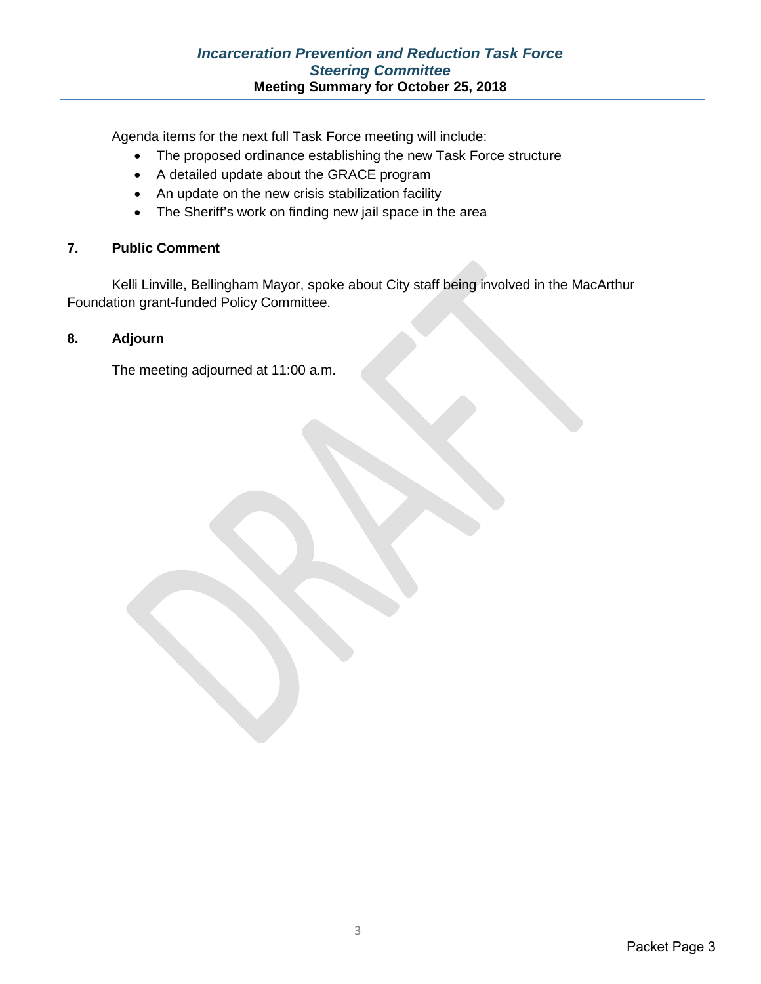Agenda items for the next full Task Force meeting will include:

- The proposed ordinance establishing the new Task Force structure
- A detailed update about the GRACE program
- An update on the new crisis stabilization facility
- The Sheriff's work on finding new jail space in the area

# **7. Public Comment**

Kelli Linville, Bellingham Mayor, spoke about City staff being involved in the MacArthur Foundation grant-funded Policy Committee.

# **8. Adjourn**

The meeting adjourned at 11:00 a.m.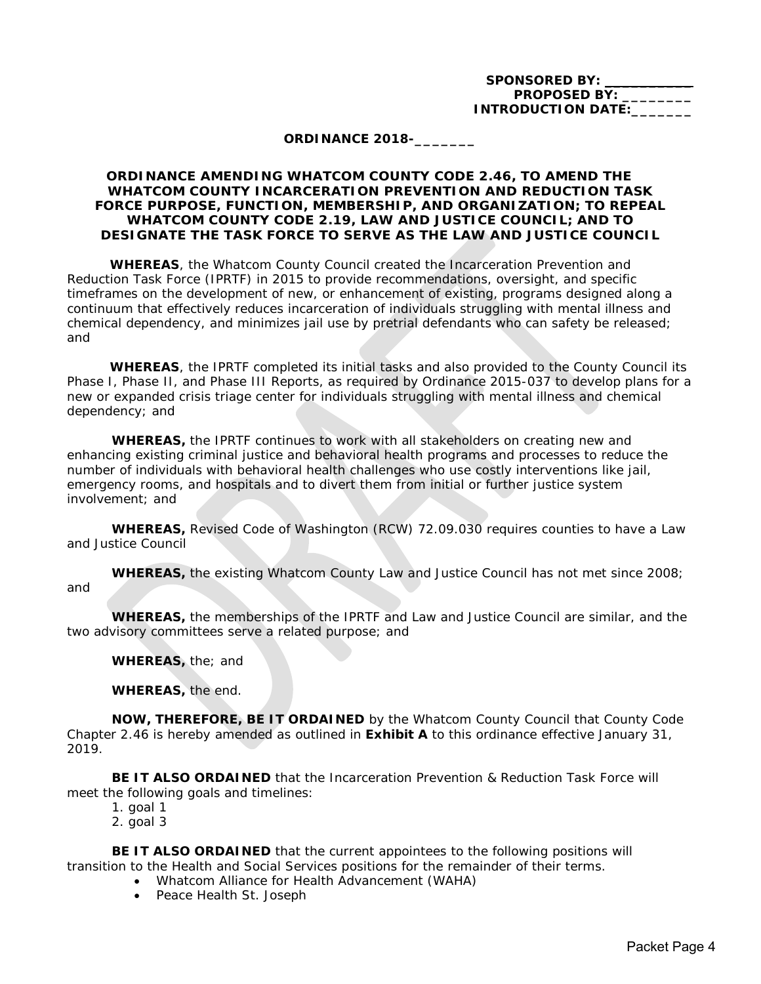SPONSORED BY: **PROPOSED BY: INTRODUCTION DATE:** 

### **ORDINANCE 2018-\_\_\_\_\_\_\_**

### **ORDINANCE AMENDING WHATCOM COUNTY CODE 2.46, TO AMEND THE WHATCOM COUNTY INCARCERATION PREVENTION AND REDUCTION TASK FORCE PURPOSE, FUNCTION, MEMBERSHIP, AND ORGANIZATION; TO REPEAL WHATCOM COUNTY CODE 2.19, LAW AND JUSTICE COUNCIL; AND TO DESIGNATE THE TASK FORCE TO SERVE AS THE LAW AND JUSTICE COUNCIL**

**WHEREAS**, the Whatcom County Council created the Incarceration Prevention and Reduction Task Force (IPRTF) in 2015 to provide recommendations, oversight, and specific timeframes on the development of new, or enhancement of existing, programs designed along a continuum that effectively reduces incarceration of individuals struggling with mental illness and chemical dependency, and minimizes jail use by pretrial defendants who can safety be released; and

**WHEREAS**, the IPRTF completed its initial tasks and also provided to the County Council its Phase I, Phase II, and Phase III Reports, as required by Ordinance 2015-037 to develop plans for a new or expanded crisis triage center for individuals struggling with mental illness and chemical dependency; and

**WHEREAS,** the IPRTF continues to work with all stakeholders on creating new and enhancing existing criminal justice and behavioral health programs and processes to reduce the number of individuals with behavioral health challenges who use costly interventions like jail, emergency rooms, and hospitals and to divert them from initial or further justice system involvement; and

**WHEREAS,** Revised Code of Washington (RCW) 72.09.030 requires counties to have a Law and Justice Council

**WHEREAS,** the existing Whatcom County Law and Justice Council has not met since 2008; and

**WHEREAS,** the memberships of the IPRTF and Law and Justice Council are similar, and the two advisory committees serve a related purpose; and

**WHEREAS,** the; and

**WHEREAS,** *the end*.

**NOW, THEREFORE, BE IT ORDAINED** by the Whatcom County Council that County Code Chapter 2.46 is hereby amended as outlined in **Exhibit A** to this ordinance effective January 31, 2019.

**BE IT ALSO ORDAINED** that the Incarceration Prevention & Reduction Task Force will meet the following goals and timelines:

- 1. goal 1
- 2. goal 3

**BE IT ALSO ORDAINED** that the current appointees to the following positions will transition to the Health and Social Services positions for the remainder of their terms.

- Whatcom Alliance for Health Advancement (WAHA)
- Peace Health St. Joseph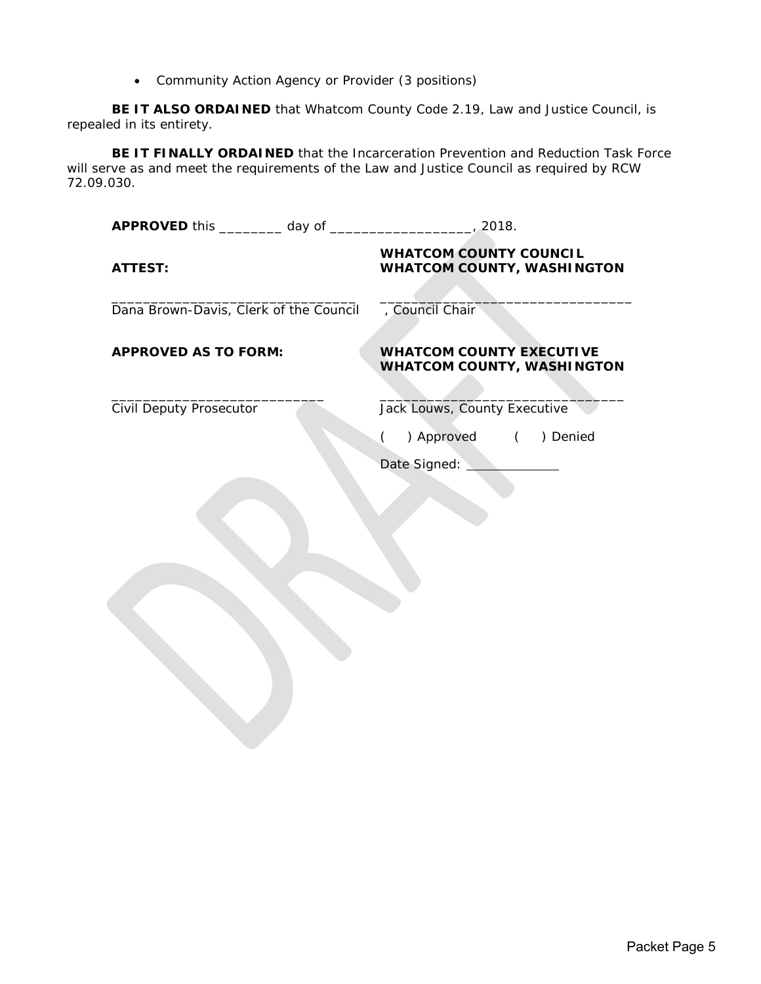• Community Action Agency or Provider (3 positions)

**BE IT ALSO ORDAINED** that Whatcom County Code 2.19, Law and Justice Council, is repealed in its entirety.

**BE IT FINALLY ORDAINED** that the Incarceration Prevention and Reduction Task Force will serve as and meet the requirements of the Law and Justice Council as required by RCW 72.09.030.

| 2018.                                                                |  |
|----------------------------------------------------------------------|--|
| <b>WHATCOM COUNTY COUNCIL</b><br><b>WHATCOM COUNTY, WASHINGTON</b>   |  |
| , Council Chair                                                      |  |
| <b>WHATCOM COUNTY EXECUTIVE</b><br><b>WHATCOM COUNTY, WASHINGTON</b> |  |
| Jack Louws, County Executive                                         |  |
| ) Approved ( ) Denied                                                |  |
| Date Signed:                                                         |  |
|                                                                      |  |
|                                                                      |  |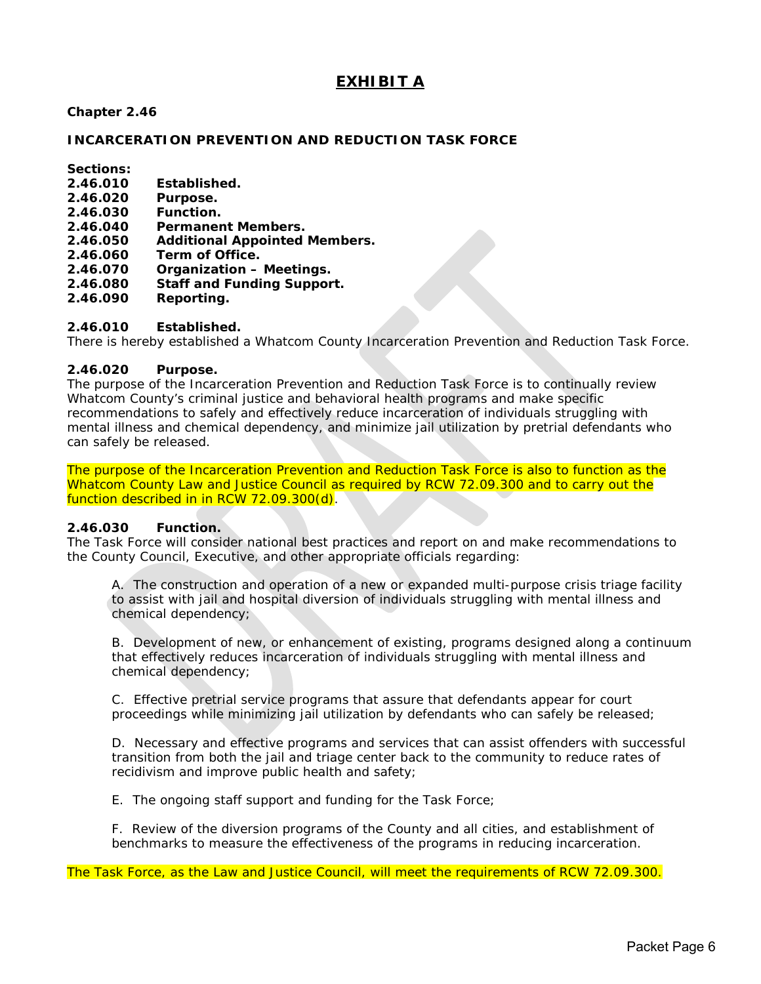# **EXHIBIT A**

### **Chapter 2.46**

### **INCARCERATION PREVENTION AND REDUCTION TASK FORCE**

**Sections:**

- **2.46.010 Established.**
- Purpose.
- **2.46.030 Function.**
- **2.46.040 Permanent Members.**
- **2.46.050 Additional Appointed Members.**
- **2.46.060 Term of Office.**
- **2.46.070 Organization Meetings.**
- **2.46 Staff and Funding Support.**
- **2.46.090 Reporting.**

### **2.46.010 Established.**

There is hereby established a Whatcom County Incarceration Prevention and Reduction Task Force.

### **2.46.020 Purpose.**

The purpose of the Incarceration Prevention and Reduction Task Force is to continually review Whatcom County's criminal justice and behavioral health programs and make specific recommendations to safely and effectively reduce incarceration of individuals struggling with mental illness and chemical dependency, and minimize jail utilization by pretrial defendants who can safely be released.

The purpose of the Incarceration Prevention and Reduction Task Force is also to function as the Whatcom County Law and Justice Council as required by RCW 72.09.300 and to carry out the function described in in RCW 72.09.300(d).

#### **2.46.030 Function.**

The Task Force will consider national best practices and report on and make recommendations to the County Council, Executive, and other appropriate officials regarding:

A. The construction and operation of a new or expanded multi-purpose crisis triage facility to assist with jail and hospital diversion of individuals struggling with mental illness and chemical dependency;

B. Development of new, or enhancement of existing, programs designed along a continuum that effectively reduces incarceration of individuals struggling with mental illness and chemical dependency;

C. Effective pretrial service programs that assure that defendants appear for court proceedings while minimizing jail utilization by defendants who can safely be released;

D. Necessary and effective programs and services that can assist offenders with successful transition from both the jail and triage center back to the community to reduce rates of recidivism and improve public health and safety;

E. The ongoing staff support and funding for the Task Force;

F. Review of the diversion programs of the County and all cities, and establishment of benchmarks to measure the effectiveness of the programs in reducing incarceration.

The Task Force, as the Law and Justice Council, will meet the requirements of RCW 72.09.300.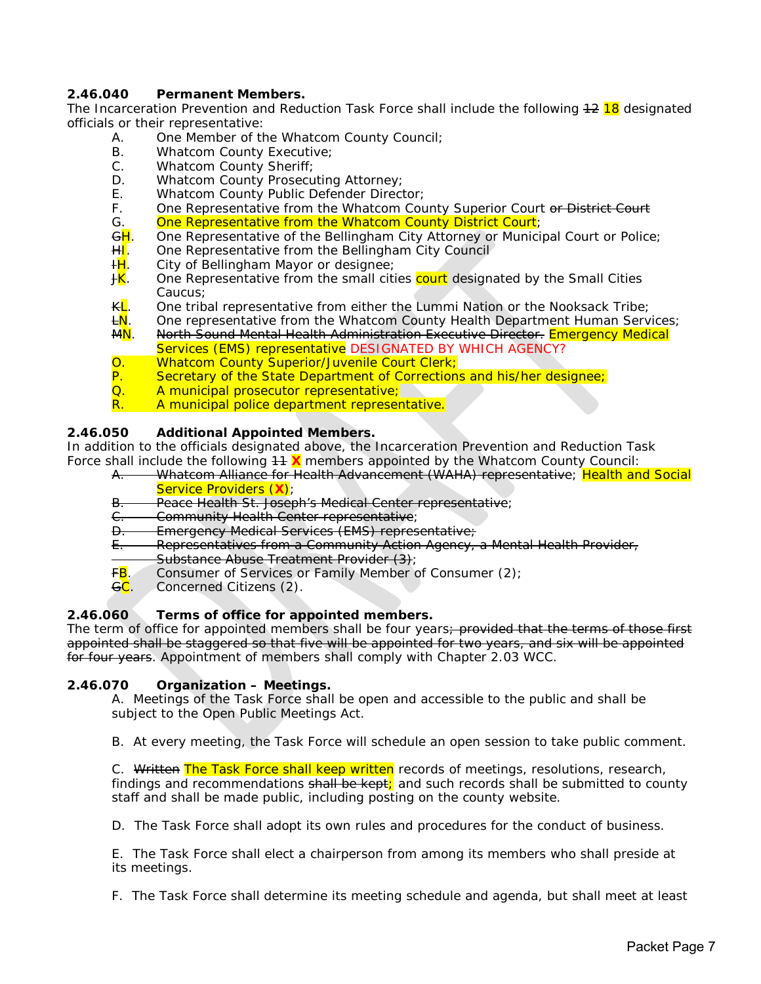### **2.46.040 Permanent Members.**

The Incarceration Prevention and Reduction Task Force shall include the following  $12$  18 designated officials or their representative:

- A. One Member of the Whatcom County Council;
- B. Whatcom County Executive;<br>C. Whatcom County Sheriff:
- C. Whatcom County Sheriff;<br>D. Whatcom County Prosecu
- D. Whatcom County Prosecuting Attorney;<br>F. Whatcom County Public Defender Direct
- E. Whatcom County Public Defender Director;<br>F. One Representative from the Whatcom Cou
	- One Representative from the Whatcom County Superior Court or District Court
- G. **One Representative from the Whatcom County District Court**;<br><del>GH</del>. One Representative of the Bellingham City Attorney or Munici <del>G<mark>H</mark>. One Representative of the Bellingham City Attorney or Municipal Court or Police;</del><br>HI. One Representative from the Bellingham City Council
- One Representative from the Bellingham City Council
- H<sub>L</sub>. City of Bellingham Mayor or designee;
- **JK**. One Representative from the small cities court designated by the Small Cities Caucus;
- K<mark>L</mark>. One tribal representative from either the Lummi Nation or the Nooksack Tribe;<br><del>L</del>N. One representative from the Whatcom County Health Department Human Serv
- <del>L<mark>N</mark>. One representative from the Whatcom County Health Department Human Services;</del><br>MN. North Sound Mental Health Administration Executive Director. Emergency Medical
- North Sound Mental Health Administration Executive Director. Emergency Medical Services (EMS) representative *DESIGNATED BY WHICH AGENCY?*
- O. Whatcom County Superior/Juvenile Court Clerk;<br>P. Secretary of the State Department of Corrections
- Secretary of the State Department of Corrections and his/her designee;
- Q. A municipal prosecutor representative;<br>R. A municipal police department representa
- R. A municipal police department representative.

### **2.46.050 Additional Appointed Members.**

In addition to the officials designated above, the Incarceration Prevention and Reduction Task Force shall include the following  $44 \text{ X}$  members appointed by the Whatcom County Council:

- A. Whatcom Alliance for Health Advancement (WAHA) representative; Health and Social Service Providers (**X**);
- B. Peace Health St. Joseph's Medical Center representative;
- C. Community Health Center representative;<br>D. Emergency Medical Services (EMS) repres
- Emergency Medical Services (EMS) representative;
- E. Representatives from a Community Action Agency, a Mental Health Provider,
- <del>Substance Abuse Treatment Provider (3);</del><br>F<mark>B</mark>. Consumer of Services or Family Member o
- Consumer of Services or Family Member of Consumer (2);
- GC. Concerned Citizens (2).

### **2.46.060 Terms of office for appointed members.**

The term of office for appointed members shall be four years; provided that the terms of those first appointed shall be staggered so that five will be appointed for two years, and six will be appointed for four years. Appointment of members shall comply with Chapter [2.03](http://www.codepublishing.com/wa/whatcomcounty/html/Whatco02/Whatco0203.html%232.03) WCC.

#### **2.46.070 Organization – Meetings.**

A. Meetings of the Task Force shall be open and accessible to the public and shall be subject to the Open Public Meetings Act.

B. At every meeting, the Task Force will schedule an open session to take public comment.

C. Written The Task Force shall keep written records of meetings, resolutions, research, findings and recommendations shall be kept; and such records shall be submitted to county staff and shall be made public, including posting on the county website.

D. The Task Force shall adopt its own rules and procedures for the conduct of business.

E. The Task Force shall elect a chairperson from among its members who shall preside at its meetings.

F. The Task Force shall determine its meeting schedule and agenda, but shall meet at least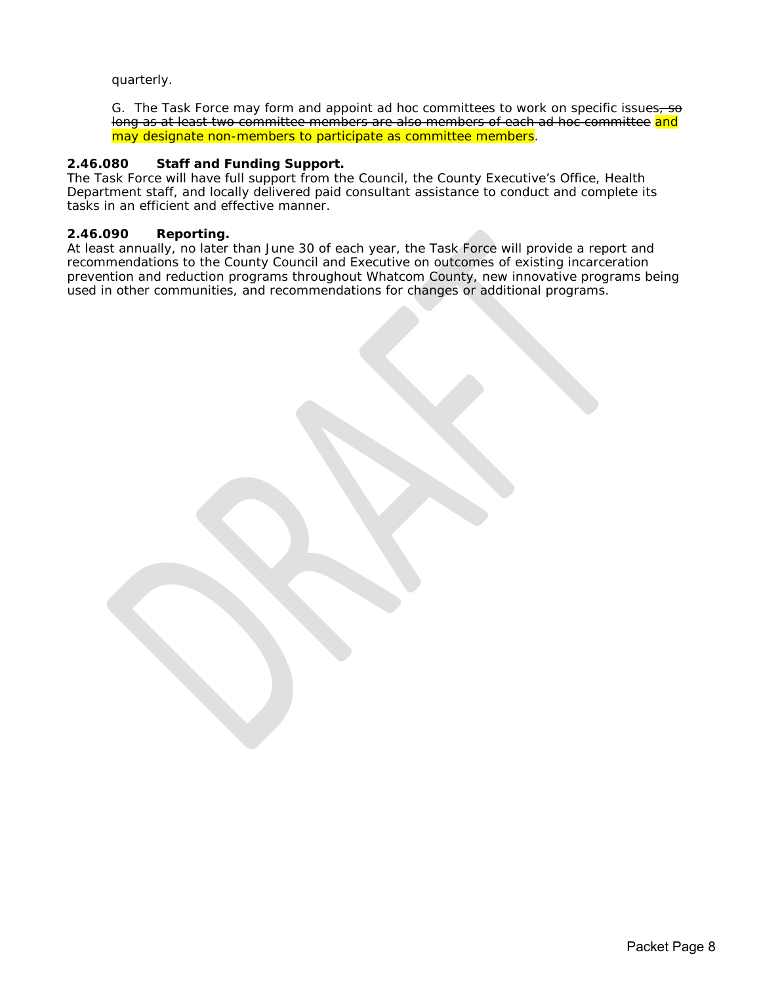### quarterly.

G. The Task Force may form and appoint ad hoc committees to work on specific issues, so long as at least two committee members are also members of each ad hoc committee and may designate non-members to participate as committee members.

### **2.46.080 Staff and Funding Support.**

The Task Force will have full support from the Council, the County Executive's Office, Health Department staff, and locally delivered paid consultant assistance to conduct and complete its tasks in an efficient and effective manner.

### **2.46.090 Reporting.**

At least annually, no later than June 30 of each year, the Task Force will provide a report and recommendations to the County Council and Executive on outcomes of existing incarceration prevention and reduction programs throughout Whatcom County, new innovative programs being used in other communities, and recommendations for changes or additional programs.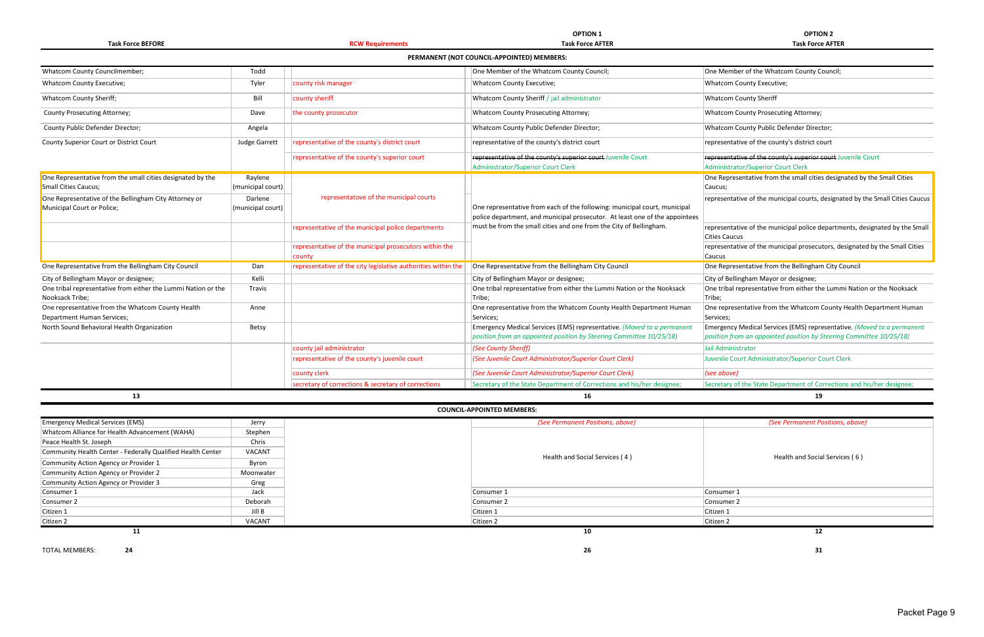**Task Force BEFORE RCW Requirements Task Force AFTER Task Force AFTER**

|                                |                              |                                                               | PERMANENT (NOT COUNCIL-APPOINTED) MEMBERS:                                                                                                    |                                                                                                                                               |
|--------------------------------|------------------------------|---------------------------------------------------------------|-----------------------------------------------------------------------------------------------------------------------------------------------|-----------------------------------------------------------------------------------------------------------------------------------------------|
| ber;                           | Todd                         |                                                               | One Member of the Whatcom County Council;                                                                                                     | One Member of the Whatcom County Council;                                                                                                     |
|                                | Tyler                        | county risk manager                                           | Whatcom County Executive;                                                                                                                     | Whatcom County Executive;                                                                                                                     |
|                                | Bill                         | county sheriff                                                | Whatcom County Sheriff / jail administrator                                                                                                   | <b>Whatcom County Sheriff</b>                                                                                                                 |
|                                | Dave                         | the county prosecutor                                         | Whatcom County Prosecuting Attorney;                                                                                                          | Whatcom County Prosecuting Attorney;                                                                                                          |
| or;                            | Angela                       |                                                               | Whatcom County Public Defender Director;                                                                                                      | Whatcom County Public Defender Director;                                                                                                      |
| ct Court                       | <b>Judge Garrett</b>         | representative of the county's district court                 | representative of the county's district court                                                                                                 | representative of the county's district court                                                                                                 |
|                                |                              | representative of the county's superior court                 | representative of the county's superior court Juvenile Court                                                                                  | representative of the county's superior court Juvenile Court                                                                                  |
|                                |                              |                                                               | <b>Administrator/Superior Court Clerk</b>                                                                                                     | Administrator/Superior Court Clerk                                                                                                            |
| mall cities designated by the  | Raylene<br>(municipal court) |                                                               |                                                                                                                                               | One Representative from the small cities designated by the Small Cities<br>Caucus;                                                            |
| ingham City Attorney or        | Darlene<br>(municipal court) | representatove of the municipal courts                        | One representative from each of the following: municipal court, municipal                                                                     | representative of the municipal courts, designated by the Small Cities Caucus                                                                 |
|                                |                              |                                                               | police department, and municipal prosecutor. At least one of the appointees                                                                   |                                                                                                                                               |
|                                |                              | representative of the municipal police departments            | must be from the small cities and one from the City of Bellingham.                                                                            | representative of the municipal police departments, designated by the Small<br><b>Cities Caucus</b>                                           |
|                                |                              | representative of the municipal prosecutors within the        |                                                                                                                                               | representative of the municipal prosecutors, designated by the Small Cities                                                                   |
|                                |                              | county                                                        |                                                                                                                                               | Caucus                                                                                                                                        |
| ellingham City Council         | Dan                          | representative of the city legislative authorities within the | One Representative from the Bellingham City Council                                                                                           | One Representative from the Bellingham City Council                                                                                           |
| signee;                        | Kelli                        |                                                               | City of Bellingham Mayor or designee;                                                                                                         | City of Bellingham Mayor or designee;                                                                                                         |
| either the Lummi Nation or the | <b>Travis</b>                |                                                               | One tribal representative from either the Lummi Nation or the Nooksack<br>Tribe;                                                              | One tribal representative from either the Lummi Nation or the Nooksack<br>Tribe;                                                              |
| hatcom County Health           | Anne                         |                                                               | One representative from the Whatcom County Health Department Human<br>Services;                                                               | One representative from the Whatcom County Health Department Human<br>Services;                                                               |
| Organization                   | Betsy                        |                                                               | Emergency Medical Services (EMS) representative. (Moved to a permanent<br>position from an appointed position by Steering Committee 10/25/18) | Emergency Medical Services (EMS) representative. (Moved to a permanent<br>position from an appointed position by Steering Committee 10/25/18) |
|                                |                              | county jail administrator                                     | (See County Sheriff)                                                                                                                          | Jail Administrator                                                                                                                            |
|                                |                              | representative of the county's juvenile court                 | (See Juvenile Court Administrator/Superior Court Clerk)                                                                                       | Juvenile Court Administrator/Superior Court Clerk                                                                                             |
|                                |                              | county clerk                                                  | (See Juvenile Court Administrator/Superior Court Clerk)                                                                                       | (see above)                                                                                                                                   |
|                                |                              | secretary of corrections & secretary of corrections           | Secretary of the State Department of Corrections and his/her designee;                                                                        | Secretary of the State Department of Corrections and his/her designee;                                                                        |
| 13                             |                              |                                                               | 16                                                                                                                                            | 19                                                                                                                                            |
|                                |                              |                                                               | <b>COUNCIL-APPOINTED MEMBERS:</b>                                                                                                             |                                                                                                                                               |
| MS)                            | Jerry                        |                                                               | (See Permanent Positions, above)                                                                                                              | (See Permanent Positions, above)                                                                                                              |
| dvancement (WAHA)              | Stephen                      |                                                               |                                                                                                                                               |                                                                                                                                               |
|                                | Chric                        |                                                               |                                                                                                                                               |                                                                                                                                               |

|                                                               |                   |                                                               | PERMANENT (NOT COUNCIL-APPOINTED) MEMBERS:                                                         |                                                                                                    |
|---------------------------------------------------------------|-------------------|---------------------------------------------------------------|----------------------------------------------------------------------------------------------------|----------------------------------------------------------------------------------------------------|
| <b>Whatcom County Councilmember;</b>                          | Todd              |                                                               | One Member of the Whatcom County Council;                                                          | One Member of the Whatcom County Council;                                                          |
| <b>Whatcom County Executive;</b>                              | Tyler             | county risk manager                                           | Whatcom County Executive;                                                                          | Whatcom County Executive;                                                                          |
| Whatcom County Sheriff;                                       | Bill              | county sheriff                                                | Whatcom County Sheriff / jail administrator                                                        | <b>Whatcom County Sheriff</b>                                                                      |
| County Prosecuting Attorney;                                  | Dave              | the county prosecutor                                         | Whatcom County Prosecuting Attorney;                                                               | <b>Whatcom County Prosecuting Attorney;</b>                                                        |
| County Public Defender Director;                              | Angela            |                                                               | Whatcom County Public Defender Director;                                                           | Whatcom County Public Defender Director;                                                           |
| County Superior Court or District Court                       | Judge Garrett     | representative of the county's district court                 | representative of the county's district court                                                      | representative of the county's district court                                                      |
|                                                               |                   | representative of the county's superior court                 | representative of the county's superior court Juvenile Court<br>Administrator/Superior Court Clerk | representative of the county's superior court Juvenile Court<br>Administrator/Superior Court Clerk |
| One Representative from the small cities designated by the    | Raylene           |                                                               |                                                                                                    | One Representative from the small cities designated by the Small Cities                            |
| <b>Small Cities Caucus;</b>                                   | (municipal court) |                                                               |                                                                                                    | Caucus;                                                                                            |
| One Representative of the Bellingham City Attorney or         | Darlene           | representatove of the municipal courts                        |                                                                                                    | representative of the municipal courts, designated by the Small Cities Caucus                      |
| Municipal Court or Police;                                    | (municipal court) |                                                               | One representative from each of the following: municipal court, municipal                          |                                                                                                    |
|                                                               |                   |                                                               | police department, and municipal prosecutor. At least one of the appointees                        |                                                                                                    |
|                                                               |                   | representative of the municipal police departments            | must be from the small cities and one from the City of Bellingham.                                 | representative of the municipal police departments, designated by the Small                        |
|                                                               |                   |                                                               |                                                                                                    | <b>Cities Caucus</b>                                                                               |
|                                                               |                   | representative of the municipal prosecutors within the        |                                                                                                    | representative of the municipal prosecutors, designated by the Small Cities                        |
|                                                               |                   | county                                                        |                                                                                                    | Caucus                                                                                             |
| One Representative from the Bellingham City Council           | Dan               | representative of the city legislative authorities within the | One Representative from the Bellingham City Council                                                | One Representative from the Bellingham City Council                                                |
| City of Bellingham Mayor or designee;                         | Kelli             |                                                               | City of Bellingham Mayor or designee;                                                              | City of Bellingham Mayor or designee;                                                              |
| One tribal representative from either the Lummi Nation or the | Travis            |                                                               | One tribal representative from either the Lummi Nation or the Nooksack                             | One tribal representative from either the Lummi Nation or the Nooksack                             |
| Nooksack Tribe:                                               |                   |                                                               | Tribe:                                                                                             | Tribe:                                                                                             |
| One representative from the Whatcom County Health             | Anne              |                                                               | One representative from the Whatcom County Health Department Human                                 | One representative from the Whatcom County Health Department Human                                 |
| Department Human Services;                                    |                   |                                                               | Services;                                                                                          | Services;                                                                                          |
| North Sound Behavioral Health Organization                    | Betsy             |                                                               | Emergency Medical Services (EMS) representative. (Moved to a permanent                             | Emergency Medical Services (EMS) representative. (Moved to a permanent                             |
|                                                               |                   |                                                               | position from an appointed position by Steering Committee 10/25/18)                                | position from an appointed position by Steering Committee 10/25/18)                                |
|                                                               |                   | county jail administrator                                     | (See County Sheriff)                                                                               | Jail Administrator                                                                                 |
|                                                               |                   | representative of the county's juvenile court                 | (See Juvenile Court Administrator/Superior Court Clerk)                                            | Juvenile Court Administrator/Superior Court Clerk                                                  |
|                                                               |                   | county clerk                                                  | (See Juvenile Court Administrator/Superior Court Clerk)                                            | (see above)                                                                                        |
|                                                               |                   | secretary of corrections & secretary of corrections           | Secretary of the State Department of Corrections and his/her designee;                             | Secretary of the State Department of Corrections and his/her designee;                             |

| <b>COUNCIL-APPOINTED MEMBERS:</b>                           |               |  |  |  |
|-------------------------------------------------------------|---------------|--|--|--|
| <b>Emergency Medical Services (EMS)</b>                     | Jerry         |  |  |  |
| Whatcom Alliance for Health Advancement (WAHA)              | Stephen       |  |  |  |
| Peace Health St. Joseph                                     | Chris         |  |  |  |
| Community Health Center - Federally Qualified Health Center | VACANT        |  |  |  |
| Community Action Agency or Provider 1                       | Byron         |  |  |  |
| Community Action Agency or Provider 2                       | Moonwater     |  |  |  |
| Community Action Agency or Provider 3                       | Greg          |  |  |  |
| Consumer 1                                                  | Jack          |  |  |  |
| Consumer 2                                                  | Deborah       |  |  |  |
| Citizen 1                                                   | Jill B        |  |  |  |
| Citizen 2                                                   | <b>VACANT</b> |  |  |  |
| 11                                                          |               |  |  |  |

TOTAL MEMBERS: **24 26 31**

# **OPTION 1**<br> **OPTION 2**<br> **Task Force AFTER**<br> **COPTION 2**